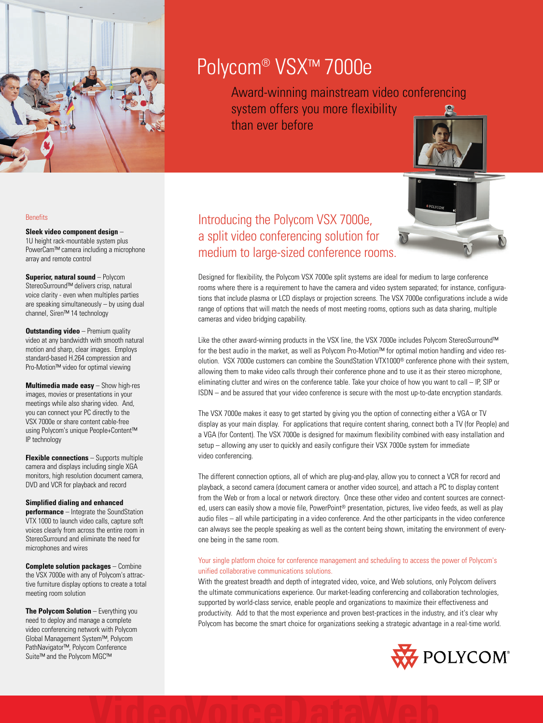

# Polycom® VSX™ 7000e

Award-winning mainstream video conferencing system offers you more flexibility than ever before

## **Benefits**

# **Sleek video component design** –

1U height rack-mountable system plus PowerCam™ camera including a microphone array and remote control

**Superior, natural sound** – Polycom StereoSurround™ delivers crisp, natural voice clarity - even when multiples parties are speaking simultaneously – by using dual channel, Siren™ 14 technology

**Outstanding video** - Premium quality video at any bandwidth with smooth natural motion and sharp, clear images. Employs standard-based H.264 compression and Pro-Motion™ video for optimal viewing

**Multimedia made easy** – Show high-res images, movies or presentations in your meetings while also sharing video. And, you can connect your PC directly to the VSX 7000e or share content cable-free using Polycom's unique People+Content™ IP technology

**Flexible connections** – Supports multiple camera and displays including single XGA monitors, high resolution document camera, DVD and VCR for playback and record

# **Simplified dialing and enhanced**

**performance** – Integrate the SoundStation VTX 1000 to launch video calls, capture soft voices clearly from across the entire room in StereoSurround and eliminate the need for microphones and wires

**Complete solution packages** – Combine the VSX 7000e with any of Polycom's attractive furniture display options to create a total meeting room solution

**The Polycom Solution** – Everything you need to deploy and manage a complete video conferencing network with Polycom Global Management System™, Polycom PathNavigator™, Polycom Conference Suite™ and the Polycom MGC™

Introducing the Polycom VSX 7000e, a split video conferencing solution for medium to large-sized conference rooms.

Designed for flexibility, the Polycom VSX 7000e split systems are ideal for medium to large conference rooms where there is a requirement to have the camera and video system separated; for instance, configurations that include plasma or LCD displays or projection screens. The VSX 7000e configurations include a wide range of options that will match the needs of most meeting rooms, options such as data sharing, multiple cameras and video bridging capability.

Like the other award-winning products in the VSX line, the VSX 7000e includes Polycom StereoSurround™ for the best audio in the market, as well as Polycom Pro-Motion™ for optimal motion handling and video resolution. VSX 7000e customers can combine the SoundStation VTX1000® conference phone with their system, allowing them to make video calls through their conference phone and to use it as their stereo microphone, eliminating clutter and wires on the conference table. Take your choice of how you want to call – IP, SIP or ISDN – and be assured that your video conference is secure with the most up-to-date encryption standards.

The VSX 7000e makes it easy to get started by giving you the option of connecting either a VGA or TV display as your main display. For applications that require content sharing, connect both a TV (for People) and a VGA (for Content). The VSX 7000e is designed for maximum flexibility combined with easy installation and setup – allowing any user to quickly and easily configure their VSX 7000e system for immediate video conferencing.

The different connection options, all of which are plug-and-play, allow you to connect a VCR for record and playback, a second camera (document camera or another video source), and attach a PC to display content from the Web or from a local or network directory. Once these other video and content sources are connected, users can easily show a movie file, PowerPoint® presentation, pictures, live video feeds, as well as play audio files – all while participating in a video conference. And the other participants in the video conference can always see the people speaking as well as the content being shown, imitating the environment of everyone being in the same room.

# Your single platform choice for conference management and scheduling to access the power of Polycom's unified collaborative communications solutions.

With the greatest breadth and depth of integrated video, voice, and Web solutions, only Polycom delivers the ultimate communications experience. Our market-leading conferencing and collaboration technologies, supported by world-class service, enable people and organizations to maximize their effectiveness and productivity. Add to that the most experience and proven best-practices in the industry, and it's clear why Polycom has become the smart choice for organizations seeking a strategic advantage in a real-time world.